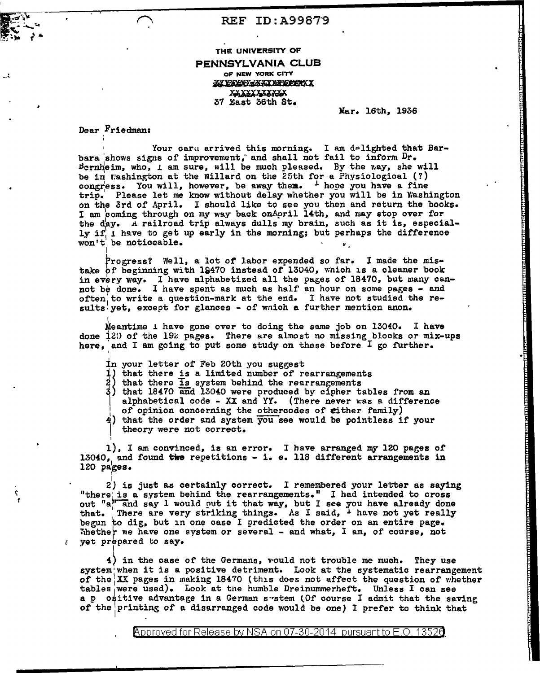## REF ID:A99B79

### THE UNIVERSITY OF

#### PENNSYLVANIA CLUB OF NEW YORK CITY

YA EXEKKEYA ETEEETX XXXXXXXXXXX 37 East 36th St.

Mar. 16th, 1936

.,

Dear Friedman:

'

Your caru arrived this morning. I am delighted that Barbara 'shows signs of improvement; and shall not fail to inform Dr.  $Bernheim, who, I am sure, will be much pleased. By the way, she will$ be in Washington at the Willard on the 25th for a Physiological  $(?)$ congress. You will, however, be away them.  $\frac{1}{2}$  hope you have a fine trip.' Please let me know without delay whether you will be in Washington on the 3rd of April. I should like to see you then and return the books. I am coming through on my way back onApril 14th, and may stop over for the day. A railroad trip always dulls my brain, such as it is, especially  $if_1$  have to get up early in the morning; but perhaps the difference won't be noticeable.  $\bullet$ I

Progress? Well, a lot of labor expended so far. I made the mistake pr beginning with 18470 instead of 13040, which is a cleaner book in every way. I have alphabetized all the pages of 18470, but many cannot be done. I have spent as much as half an hour on some pages - and often to write a question-mark at the end. I have not studied the results yet, except for glances - of wnich a further mention anon.

Meantime  $\perp$  have gone over to doing the same job on 13040. I have done  $120$  of the 19 $z$  pages. There are almost no missing blocks or mix-ups here, and I am going to put some study on these before I go further.

- in your letter of Feb 20th you suggest
- 1) that there is a limited number of rearrangements
- $2)$  that there is system behind the rearrangements
- $3)$  that 18470 and 13040 were produced by cipher tables from an
- ~l I alphabetical code - XX and YY. (There never was a difference of opinion concerning the othercodes of either family)
- $\frac{1}{4}$ ) that the order and system you see would be pointless if your  $\vert \cdot \vert$ theory were not correct.

' 1), I am convinced, is an error. I have arranged my 120 pages of  $13040$ , and found the repetitions - i. e. 118 different arrangements in 120 pages. I

 $2\vert$  is just as certainly correct. I remembered your letter as saying "there is a system behind the rearrangements." I had intended to cross "there is a system behind the rearrangements." I had intended to cross<br>out "a," and say I would nut it that way, but I see you have already done that. There are very striking things. As I said, <sup>1</sup> have not yet really begun to dig, but in one case I predicted the order on an entire page. Whether we have one system or several - and what, I am, of course, not  $\gamma$  yet prepared to say.

4) in the case of the Germans, vould not trouble me much. They use system when it is a positive detriment. Look at the systematic rearrangement of the  $XX$  pages in making 18470 (this does not affect the question of whether tables were used). Look at tne humble Dreinummerhef't. Unless I can see a p ositive advantage in a German system (Of course I admit that the saving of theiprinting of a disarranged code would be one} I prefer to think that

<code>Approved</code> for Release by NSA on 07-30-2014 <code>pursuant</code> to E.O.  $\,$